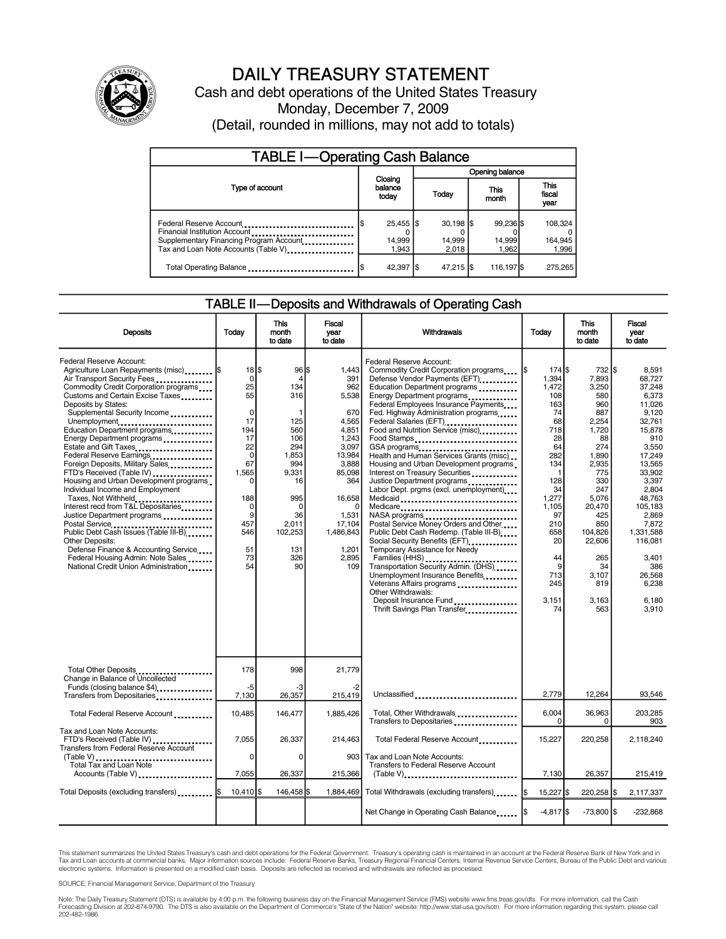

### DAILY TREASURY STATEMENT

Cash and debt operations of the United States Treasury Monday, December 7, 2009 (Detail, rounded in millions, may not add to totals)

| <b>TABLE I-Operating Cash Balance</b>                                                                                                       |  |                                |  |                               |  |                              |  |                               |
|---------------------------------------------------------------------------------------------------------------------------------------------|--|--------------------------------|--|-------------------------------|--|------------------------------|--|-------------------------------|
|                                                                                                                                             |  |                                |  | Opening balance               |  |                              |  |                               |
| Type of account                                                                                                                             |  | Closing<br>balance<br>today    |  | Today                         |  | <b>This</b><br>month         |  | <b>This</b><br>fiscal<br>year |
| Federal Reserve Account<br>Financial Institution Account<br>Supplementary Financing Program Account<br>Tax and Loan Note Accounts (Table V) |  | $25,455$ \$<br>14,999<br>1.943 |  | $30.198$ S<br>14,999<br>2.018 |  | 99.236 \$<br>14,999<br>1.962 |  | 108,324<br>164,945<br>1,996   |
| Total Operating Balance                                                                                                                     |  | 42,397 \$                      |  | 47,215 \$                     |  | 116,197 \$                   |  | 275.265                       |

### TABLE II—Deposits and Withdrawals of Operating Cash

| <b>Deposits</b>                                                                                                                                                                                                                                                                                                                                                                                                                                                                                                                                                                                                                                                                                                                                                                                                                 | Today                                                                                                                                                                     | <b>This</b><br>month<br>to date                                                                                                                        | <b>Fiscal</b><br>vear<br>to date                                                                                                                                                      | Withdrawals                                                                                                                                                                                                                                                                                                                                                                                                                                                                                                                                                                                                                                                                                                                                                                                                                                                                                                                               | Today                                                                                                                                                                                              | <b>This</b><br>month<br>to date                                                                                                                                                                                        | Fiscal<br>vear<br>to date                                                                                                                                                                                                                                     |
|---------------------------------------------------------------------------------------------------------------------------------------------------------------------------------------------------------------------------------------------------------------------------------------------------------------------------------------------------------------------------------------------------------------------------------------------------------------------------------------------------------------------------------------------------------------------------------------------------------------------------------------------------------------------------------------------------------------------------------------------------------------------------------------------------------------------------------|---------------------------------------------------------------------------------------------------------------------------------------------------------------------------|--------------------------------------------------------------------------------------------------------------------------------------------------------|---------------------------------------------------------------------------------------------------------------------------------------------------------------------------------------|-------------------------------------------------------------------------------------------------------------------------------------------------------------------------------------------------------------------------------------------------------------------------------------------------------------------------------------------------------------------------------------------------------------------------------------------------------------------------------------------------------------------------------------------------------------------------------------------------------------------------------------------------------------------------------------------------------------------------------------------------------------------------------------------------------------------------------------------------------------------------------------------------------------------------------------------|----------------------------------------------------------------------------------------------------------------------------------------------------------------------------------------------------|------------------------------------------------------------------------------------------------------------------------------------------------------------------------------------------------------------------------|---------------------------------------------------------------------------------------------------------------------------------------------------------------------------------------------------------------------------------------------------------------|
| Federal Reserve Account:<br>Agriculture Loan Repayments (misc)  \$<br>Air Transport Security Fees<br>Commodity Credit Corporation programs<br>Customs and Certain Excise Taxes<br>Deposits by States:<br>Supplemental Security Income<br>Unemployment<br>Education Department programs<br>Energy Department programs<br>Estate and Gift Taxes<br>Federal Reserve Earnings<br>Foreign Deposits, Military Sales<br>FTD's Received (Table IV)<br>Housing and Urban Development programs<br>Individual Income and Employment<br>Taxes, Not Withheld<br>Interest recd from T&L Depositaries<br>Justice Department programs<br>Postal Service<br>Public Debt Cash Issues (Table III-B)<br><b>Other Deposits:</b><br>Defense Finance & Accounting Service<br>Federal Housing Admin: Note Sales<br>National Credit Union Administration | $18$ $\frac{1}{3}$<br>$\mathbf 0$<br>25<br>55<br>$\mathbf 0$<br>17<br>194<br>17<br>22<br>$\mathbf 0$<br>67<br>1,565<br>0<br>188<br>0<br>9<br>457<br>546<br>51<br>73<br>54 | 96<br>4<br>134<br>316<br>1<br>125<br>560<br>106<br>294<br>1.853<br>994<br>9,331<br>16<br>995<br>$\Omega$<br>36<br>2,011<br>102,253<br>131<br>326<br>90 | l\$<br>1,443<br>391<br>962<br>5,538<br>670<br>4,565<br>4,851<br>1,243<br>3,097<br>13,984<br>3,888<br>85,098<br>364<br>16,658<br>1,531<br>17,104<br>1,486,843<br>1.201<br>2,895<br>109 | Federal Reserve Account:<br>Commodity Credit Corporation programs<br>Defense Vendor Payments (EFT)<br>Education Department programs<br>Energy Department programs<br>Federal Employees Insurance Payments<br>Fed. Highway Administration programs<br>Federal Salaries (EFT)<br>Food and Nutrition Service (misc)<br>Food Stamps<br>GSA programs<br>Health and Human Services Grants (misc)<br>Housing and Urban Development programs<br>Interest on Treasury Securities<br>Justice Department programs<br>Labor Dept. prgms (excl. unemployment)<br>Medicaid<br>Medicare<br>Postal Service Money Orders and Other<br>Public Debt Cash Redemp. (Table III-B)<br>Social Security Benefits (EFT)<br>Temporary Assistance for Needy<br>Families (HHS)<br>Transportation Security Admin. (DHS)<br>Unemployment Insurance Benefits<br>Veterans Affairs programs<br>Other Withdrawals:<br>Deposit Insurance Fund<br>Thrift Savings Plan Transfer | 174S<br>1.394<br>1,472<br>108<br>163<br>74<br>68<br>718<br>28<br>64<br>282<br>134<br>$\mathbf{1}$<br>128<br>34<br>1.277<br>1,105<br>97<br>210<br>658<br>20<br>44<br>9<br>713<br>245<br>3,151<br>74 | 732 \$<br>7,893<br>3,250<br>580<br>960<br>887<br>2,254<br>1,720<br>88<br>274<br>1,890<br>2,935<br>775<br>330<br>247<br>5.076<br>20,470<br>425<br>850<br>104.826<br>22,606<br>265<br>34<br>3,107<br>819<br>3,163<br>563 | 8,591<br>68.727<br>37,248<br>6.373<br>11.026<br>9.120<br>32,761<br>15.878<br>910<br>3.550<br>17.249<br>13,565<br>33.902<br>3,397<br>2.804<br>48.763<br>105,183<br>2,869<br>7,872<br>1,331,588<br>116,081<br>3,401<br>386<br>26.568<br>6.238<br>6,180<br>3,910 |
| Total Other Deposits<br>Change in Balance of Uncollected                                                                                                                                                                                                                                                                                                                                                                                                                                                                                                                                                                                                                                                                                                                                                                        | 178                                                                                                                                                                       | 998                                                                                                                                                    | 21,779                                                                                                                                                                                |                                                                                                                                                                                                                                                                                                                                                                                                                                                                                                                                                                                                                                                                                                                                                                                                                                                                                                                                           |                                                                                                                                                                                                    |                                                                                                                                                                                                                        |                                                                                                                                                                                                                                                               |
| Funds (closing balance \$4)<br>Transfers from Depositaries                                                                                                                                                                                                                                                                                                                                                                                                                                                                                                                                                                                                                                                                                                                                                                      | $-5$<br>7,130                                                                                                                                                             | -3<br>26,357                                                                                                                                           | 215,419                                                                                                                                                                               | Unclassified                                                                                                                                                                                                                                                                                                                                                                                                                                                                                                                                                                                                                                                                                                                                                                                                                                                                                                                              | 2,779                                                                                                                                                                                              | 12,264                                                                                                                                                                                                                 | 93,546                                                                                                                                                                                                                                                        |
| Total Federal Reserve Account                                                                                                                                                                                                                                                                                                                                                                                                                                                                                                                                                                                                                                                                                                                                                                                                   | 10,485                                                                                                                                                                    | 146,477                                                                                                                                                | 1,885,426                                                                                                                                                                             | Total, Other Withdrawals<br>Transfers to Depositaries                                                                                                                                                                                                                                                                                                                                                                                                                                                                                                                                                                                                                                                                                                                                                                                                                                                                                     | 6,004<br>0                                                                                                                                                                                         | 36,963<br>0                                                                                                                                                                                                            | 203,285<br>903                                                                                                                                                                                                                                                |
| Tax and Loan Note Accounts:<br>FTD's Received (Table IV)<br><b>Transfers from Federal Reserve Account</b><br>(Table V)<br>                                                                                                                                                                                                                                                                                                                                                                                                                                                                                                                                                                                                                                                                                                      | 7,055<br>0                                                                                                                                                                | 26.337<br>$\mathbf 0$                                                                                                                                  | 214.463                                                                                                                                                                               | Total Federal Reserve Account.<br>903 Tax and Loan Note Accounts:                                                                                                                                                                                                                                                                                                                                                                                                                                                                                                                                                                                                                                                                                                                                                                                                                                                                         | 15,227                                                                                                                                                                                             | 220,258                                                                                                                                                                                                                | 2.118.240                                                                                                                                                                                                                                                     |
| Total Tax and Loan Note<br>Accounts (Table V)                                                                                                                                                                                                                                                                                                                                                                                                                                                                                                                                                                                                                                                                                                                                                                                   | 7,055                                                                                                                                                                     | 26,337                                                                                                                                                 | 215,366                                                                                                                                                                               | Transfers to Federal Reserve Account                                                                                                                                                                                                                                                                                                                                                                                                                                                                                                                                                                                                                                                                                                                                                                                                                                                                                                      | 7,130                                                                                                                                                                                              | 26,357                                                                                                                                                                                                                 | 215,419                                                                                                                                                                                                                                                       |
| Total Deposits (excluding transfers)   \$                                                                                                                                                                                                                                                                                                                                                                                                                                                                                                                                                                                                                                                                                                                                                                                       | $10,410$ S                                                                                                                                                                | 146,458                                                                                                                                                | 1.884.469                                                                                                                                                                             | Total Withdrawals (excluding transfers) [\$                                                                                                                                                                                                                                                                                                                                                                                                                                                                                                                                                                                                                                                                                                                                                                                                                                                                                               | 15,227 \$                                                                                                                                                                                          | 220,258 \$                                                                                                                                                                                                             | 2,117,337                                                                                                                                                                                                                                                     |
|                                                                                                                                                                                                                                                                                                                                                                                                                                                                                                                                                                                                                                                                                                                                                                                                                                 |                                                                                                                                                                           |                                                                                                                                                        |                                                                                                                                                                                       |                                                                                                                                                                                                                                                                                                                                                                                                                                                                                                                                                                                                                                                                                                                                                                                                                                                                                                                                           | $-4,817$ \$                                                                                                                                                                                        | $-73,800$ $\sqrt{5}$                                                                                                                                                                                                   | $-232,868$                                                                                                                                                                                                                                                    |

This statement summarizes the United States Treasury's cash and debt operations for the Federal Government. Treasury's operating cash is maintained in an account at the Federal Reserve Bank of New York and in<br>Tax and Loan

SOURCE: Financial Management Service, Department of the Treasury

Note: The Daily Treasury Statement (DTS) is available by 4:00 p.m. the following business day on the Financial Management Service (FMS) website www.fms.treas.gov/dts. For more information, call the Cash Forecasting Division at 202-874-9790. The DTS is also available on the Department of Commerce's "State of the Nation" website: http://www.stat-usa.gov/sotn. For more information regarding this system, please call<br>202-482-1